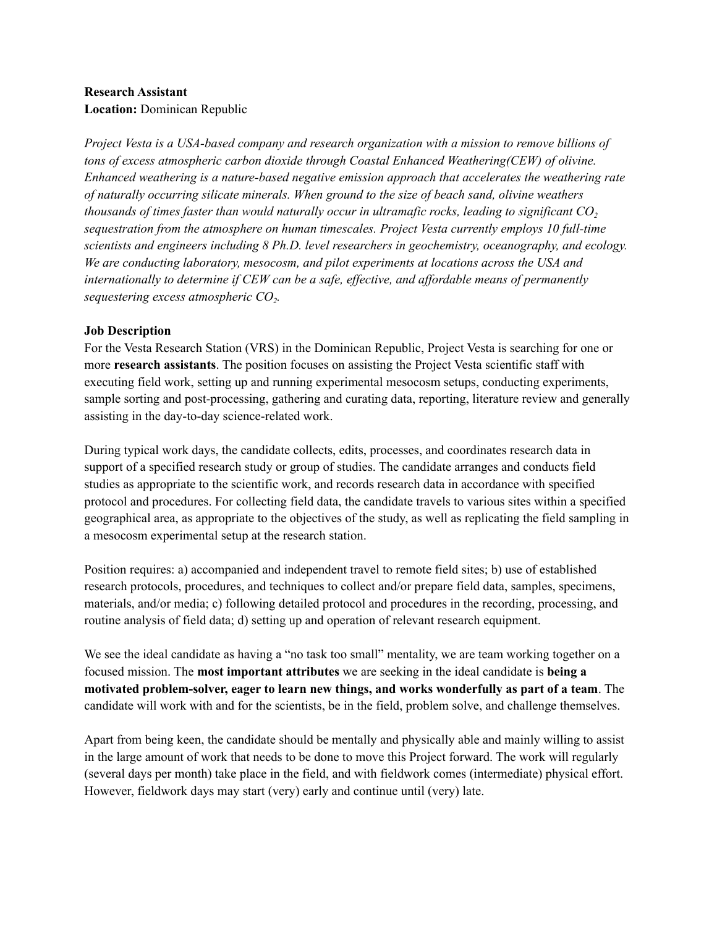#### **Research Assistant Location:** Dominican Republic

*Project Vesta is a USA-based company and research organization with a mission to remove billions of tons of excess atmospheric carbon dioxide through Coastal Enhanced Weathering(CEW) of olivine. Enhanced weathering is a nature-based negative emission approach that accelerates the weathering rate of naturally occurring silicate minerals. When ground to the size of beach sand, olivine weathers thousands of times faster than would naturally occur in ultramafic rocks, leading to significant CO<sup>2</sup> sequestration from the atmosphere on human timescales. Project Vesta currently employs 10 full-time scientists and engineers including 8 Ph.D. level researchers in geochemistry, oceanography, and ecology. We are conducting laboratory, mesocosm, and pilot experiments at locations across the USA and internationally to determine if CEW can be a safe, ef ective, and af ordable means of permanently sequestering excess atmospheric CO<sup>2</sup> .*

## **Job Description**

For the Vesta Research Station (VRS) in the Dominican Republic, Project Vesta is searching for one or more **research assistants**. The position focuses on assisting the Project Vesta scientific staff with executing field work, setting up and running experimental mesocosm setups, conducting experiments, sample sorting and post-processing, gathering and curating data, reporting, literature review and generally assisting in the day-to-day science-related work.

During typical work days, the candidate collects, edits, processes, and coordinates research data in support of a specified research study or group of studies. The candidate arranges and conducts field studies as appropriate to the scientific work, and records research data in accordance with specified protocol and procedures. For collecting field data, the candidate travels to various sites within a specified geographical area, as appropriate to the objectives of the study, as well as replicating the field sampling in a mesocosm experimental setup at the research station.

Position requires: a) accompanied and independent travel to remote field sites; b) use of established research protocols, procedures, and techniques to collect and/or prepare field data, samples, specimens, materials, and/or media; c) following detailed protocol and procedures in the recording, processing, and routine analysis of field data; d) setting up and operation of relevant research equipment.

We see the ideal candidate as having a "no task too small" mentality, we are team working together on a focused mission. The **most important attributes** we are seeking in the ideal candidate is **being a motivated problem-solver, eager to learn new things, and works wonderfully as part of a team**. The candidate will work with and for the scientists, be in the field, problem solve, and challenge themselves.

Apart from being keen, the candidate should be mentally and physically able and mainly willing to assist in the large amount of work that needs to be done to move this Project forward. The work will regularly (several days per month) take place in the field, and with fieldwork comes (intermediate) physical effort. However, fieldwork days may start (very) early and continue until (very) late.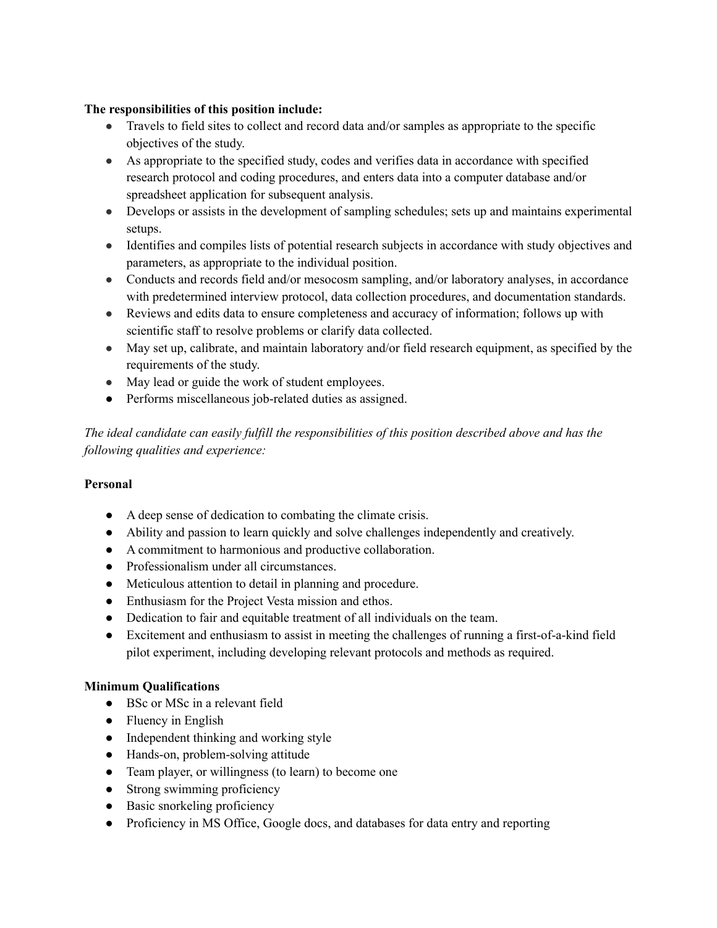## **The responsibilities of this position include:**

- Travels to field sites to collect and record data and/or samples as appropriate to the specific objectives of the study.
- As appropriate to the specified study, codes and verifies data in accordance with specified research protocol and coding procedures, and enters data into a computer database and/or spreadsheet application for subsequent analysis.
- Develops or assists in the development of sampling schedules; sets up and maintains experimental setups.
- Identifies and compiles lists of potential research subjects in accordance with study objectives and parameters, as appropriate to the individual position.
- Conducts and records field and/or mesocosm sampling, and/or laboratory analyses, in accordance with predetermined interview protocol, data collection procedures, and documentation standards.
- Reviews and edits data to ensure completeness and accuracy of information; follows up with scientific staff to resolve problems or clarify data collected.
- May set up, calibrate, and maintain laboratory and/or field research equipment, as specified by the requirements of the study.
- May lead or guide the work of student employees.
- Performs miscellaneous job-related duties as assigned.

*The ideal candidate can easily fulfill the responsibilities of this position described above and has the following qualities and experience:*

# **Personal**

- A deep sense of dedication to combating the climate crisis.
- Ability and passion to learn quickly and solve challenges independently and creatively.
- A commitment to harmonious and productive collaboration.
- Professionalism under all circumstances.
- Meticulous attention to detail in planning and procedure.
- Enthusiasm for the Project Vesta mission and ethos.
- Dedication to fair and equitable treatment of all individuals on the team.
- Excitement and enthusiasm to assist in meeting the challenges of running a first-of-a-kind field pilot experiment, including developing relevant protocols and methods as required.

## **Minimum Qualifications**

- BSc or MSc in a relevant field
- Fluency in English
- Independent thinking and working style
- Hands-on, problem-solving attitude
- Team player, or willingness (to learn) to become one
- Strong swimming proficiency
- Basic snorkeling proficiency
- Proficiency in MS Office, Google docs, and databases for data entry and reporting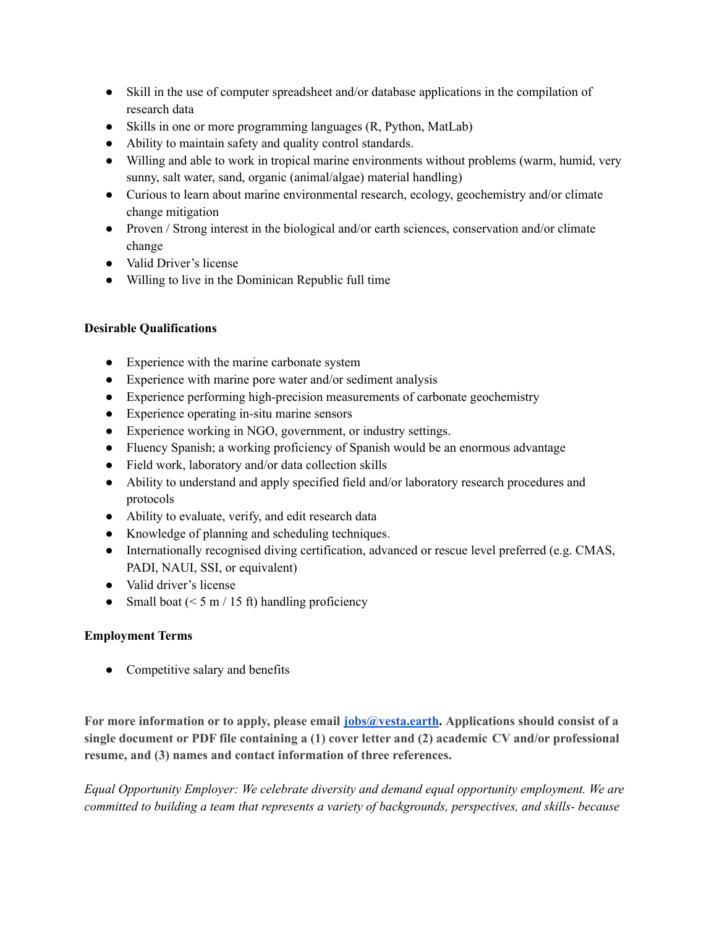- Skill in the use of computer spreadsheet and/or database applications in the compilation of research data
- Skills in one or more programming languages (R, Python, MatLab)
- Ability to maintain safety and quality control standards.
- Willing and able to work in tropical marine environments without problems (warm, humid, very sunny, salt water, sand, organic (animal/algae) material handling)
- Curious to learn about marine environmental research, ecology, geochemistry and/or climate change mitigation
- Proven / Strong interest in the biological and/or earth sciences, conservation and/or climate change
- Valid Driver's license
- Willing to live in the Dominican Republic full time

## **Desirable Qualifications**

- Experience with the marine carbonate system
- Experience with marine pore water and/or sediment analysis
- Experience performing high-precision measurements of carbonate geochemistry
- Experience operating in-situ marine sensors
- Experience working in NGO, government, or industry settings.
- Fluency Spanish; a working proficiency of Spanish would be an enormous advantage
- Field work, laboratory and/or data collection skills
- Ability to understand and apply specified field and/or laboratory research procedures and protocols
- Ability to evaluate, verify, and edit research data
- Knowledge of planning and scheduling techniques.
- Internationally recognised diving certification, advanced or rescue level preferred (e.g. CMAS, PADI, NAUI, SSI, or equivalent)
- Valid driver's license
- Small boat ( $\leq 5$  m / 15 ft) handling proficiency

## **Employment Terms**

• Competitive salary and benefits

**For more information or to apply, please email [jobs@vesta.earth](http://jobs@vesta.earth). Applications should consist of a single document or PDF file containing a (1) cover letter and (2) academic CV and/or professional resume, and (3) names and contact information of three references.**

*Equal Opportunity Employer: We celebrate diversity and demand equal opportunity employment. We are committed to building a team that represents a variety of backgrounds, perspectives, and skills- because*